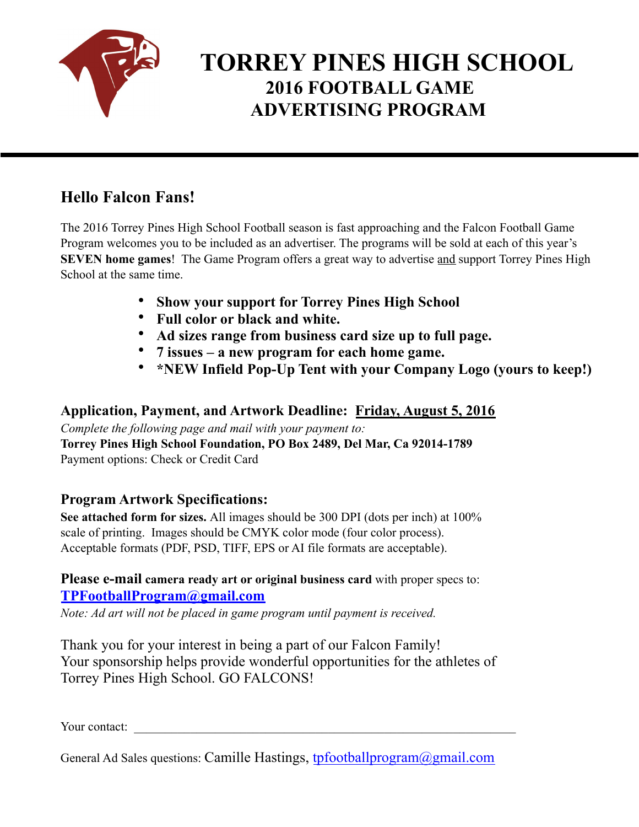

# **TORREY PINES HIGH SCHOOL 2016 FOOTBALL GAME ADVERTISING PROGRAM**

### **Hello Falcon Fans!**

The 2016 Torrey Pines High School Football season is fast approaching and the Falcon Football Game Program welcomes you to be included as an advertiser. The programs will be sold at each of this year's **SEVEN home games**! The Game Program offers a great way to advertise and support Torrey Pines High School at the same time.

- **Show your support for Torrey Pines High School**
- **Full color or black and white.**
- **Ad sizes range from business card size up to full page.**
- **7 issues a new program for each home game.**
- **\*NEW Infield Pop-Up Tent with your Company Logo (yours to keep!)**

**Application, Payment, and Artwork Deadline: Friday, August 5, 2016**

*Complete the following page and mail with your payment to:*  **Torrey Pines High School Foundation, PO Box 2489, Del Mar, Ca 92014-1789**  Payment options: Check or Credit Card

### **Program Artwork Specifications:**

**See attached form for sizes.** All images should be 300 DPI (dots per inch) at 100% scale of printing. Images should be CMYK color mode (four color process). Acceptable formats (PDF, PSD, TIFF, EPS or AI file formats are acceptable).

#### **Please e-mail camera ready art or original business card** with proper specs to: **[TPFootballProgram@gmail.com](mailto:vanho.tpfootballprogram@gmail.com)**

*Note: Ad art will not be placed in game program until payment is received.* 

Thank you for your interest in being a part of our Falcon Family! Your sponsorship helps provide wonderful opportunities for the athletes of Torrey Pines High School. GO FALCONS!

Your contact:

General Ad Sales questions: Camille Hastings, [tpfootballprogram@gmail.com](mailto:tpfootballprogram@gmail.com)